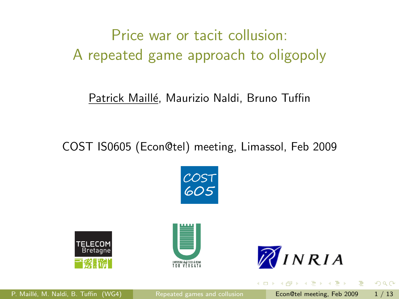# Price war or tacit collusion: A repeated game approach to oligopoly

#### Patrick Maillé, Maurizio Naldi, Bruno Tuffin

COST IS0605 (Econ@tel) meeting, Limassol, Feb 2009









<span id="page-0-0"></span>原子 メラチ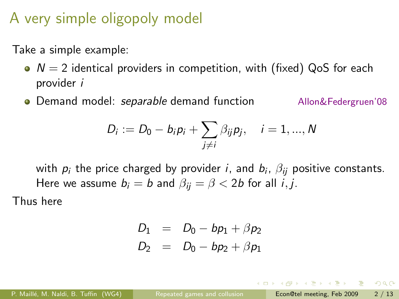# A very simple oligopoly model

Take a simple example:

- $\bullet$   $N = 2$  identical providers in competition, with (fixed) QoS for each provider i
- **Demand model:** separable demand function Allon&Federgruen'08

$$
D_i := D_0 - b_i p_i + \sum_{j \neq i} \beta_{ij} p_j, \quad i = 1, ..., N
$$

with  $\rho_i$  the price charged by provider  $i$ , and  $b_i$ ,  $\beta_{ij}$  positive constants. Here we assume  $b_i = b$  and  $\beta_{ii} = \beta < 2b$  for all *i*, *j*.

Thus here

$$
D_1 = D_0 - bp_1 + \beta p_2 \nD_2 = D_0 - bp_2 + \beta p_1
$$

P. Maillé, M. Naldi, B. Tuffin (WG4) [Repeated games and collusion](#page-0-0) **Econ@tel meeting, Feb 2009 2 / 13**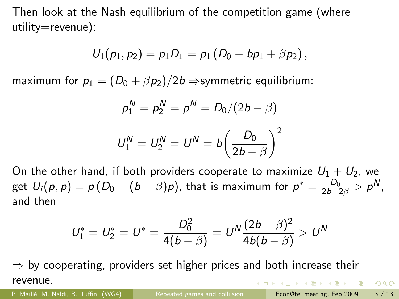Then look at the Nash equilibrium of the competition game (where utility=revenue):

$$
U_1(p_1, p_2) = p_1 D_1 = p_1 (D_0 - bp_1 + \beta p_2),
$$

maximum for  $p_1 = (D_0 + \beta p_2)/2b \Rightarrow$ symmetric equilibrium:

$$
p_1^N = p_2^N = p^N = D_0/(2b - \beta)
$$
  

$$
U_1^N = U_2^N = U^N = b \left(\frac{D_0}{2b - \beta}\right)^2
$$

On the other hand, if both providers cooperate to maximize  $U_1 + U_2$ , we get  $U_i(p,p)=p\left(D_0-(b-\beta)p\right)$ , that is maximum for  $p^*=\frac{D_0}{2b-2\beta}>p^N$ , and then

$$
U_1^* = U_2^* = U^* = \frac{D_0^2}{4(b - \beta)} = U^N \frac{(2b - \beta)^2}{4b(b - \beta)} > U^N
$$

 $\Rightarrow$  by cooperating, providers set higher prices and both increase their revenue.

 $QQ$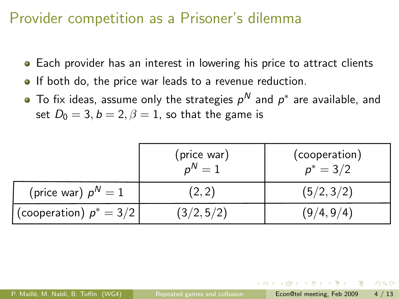## Provider competition as a Prisoner's dilemma

- **•** Each provider has an interest in lowering his price to attract clients
- **If both do, the price war leads to a revenue reduction.**
- To fix ideas, assume only the strategies  $\rho^{\mathsf{N}}$  and  $\rho^*$  are available, and set  $D_0 = 3$ ,  $b = 2$ ,  $\beta = 1$ , so that the game is

|                           | (price war)<br>$n^N=1$ | (cooperation)<br>$p^* = 3/2$ |
|---------------------------|------------------------|------------------------------|
| (price war) $p^N = 1$     | (2, 2)                 | (5/2, 3/2)                   |
| (cooperation) $p^* = 3/2$ | (3/2, 5/2)             | (9/4, 9/4)                   |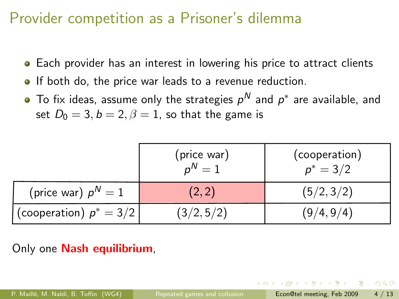# Provider competition as a Prisoner's dilemma

- Each provider has an interest in lowering his price to attract clients
- **If both do, the price war leads to a revenue reduction.**
- To fix ideas, assume only the strategies  $\rho^{\mathsf{N}}$  and  $\rho^*$  are available, and set  $D_0 = 3, b = 2, \beta = 1$ , so that the game is

|                           | (price war)<br>$n^N=1$ | (cooperation)<br>$p^* = 3/2$ |
|---------------------------|------------------------|------------------------------|
| (price war) $p^N = 1$     | (2, 2)                 | (5/2, 3/2)                   |
| (cooperation) $p^* = 3/2$ | (3/2, 5/2)             | (9/4, 9/4)                   |

Only one **Nash equilibrium**.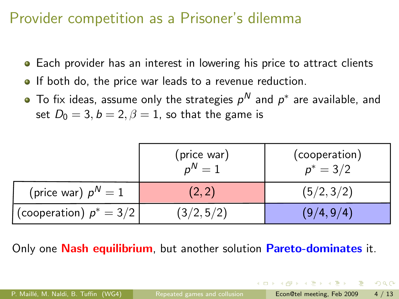# Provider competition as a Prisoner's dilemma

- **•** Each provider has an interest in lowering his price to attract clients
- **If both do, the price war leads to a revenue reduction.**
- To fix ideas, assume only the strategies  $\rho^{\mathsf{N}}$  and  $\rho^*$  are available, and set  $D_0 = 3$ ,  $b = 2$ ,  $\beta = 1$ , so that the game is

|                           | (price war)<br>$n^N=1$ | (cooperation)<br>$p^* = 3/2$ |
|---------------------------|------------------------|------------------------------|
| (price war) $p^N = 1$     | (2, 2)                 | (5/2, 3/2)                   |
| (cooperation) $p^* = 3/2$ | (3/2, 5/2)             | (9/4, 9/4)                   |

Only one **Nash equilibrium**, but another solution **Pareto-dominates** it.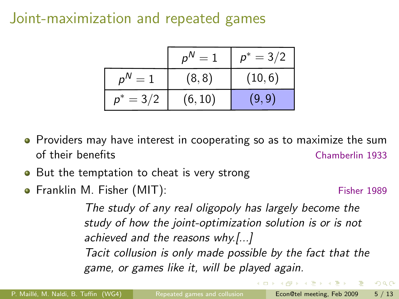# Joint-maximization and repeated games

|                | $p^N$<br>$=1$ | $p^* = 3/2$ |
|----------------|---------------|-------------|
| $D^N$<br>$= 1$ | (8, 8)        | (10, 6)     |
| $p^* = 3/2$    | (6, 10)       | (9,9)       |

- Providers may have interest in cooperating so as to maximize the sum of their benefits Chamberlin 1933
- But the temptation to cheat is very strong
- **•** Franklin M. Fisher (MIT): Fisher 1989

- 2

 $QQ$ 

The study of any real oligopoly has largely become the study of how the joint-optimization solution is or is not achieved and the reasons why.[...] Tacit collusion is only made possible by the fact that the game, or games like it, will be played again.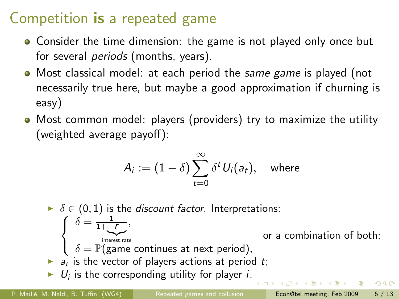# Competition is a repeated game

- Consider the time dimension: the game is not played only once but for several *periods* (months, years).
- Most classical model: at each period the same game is played (not necessarily true here, but maybe a good approximation if churning is easy)
- Most common model: players (providers) try to maximize the utility (weighted average payoff):

$$
A_i := (1 - \delta) \sum_{t=0}^{\infty} \delta^t U_i(a_t), \quad \text{where}
$$

 $\blacktriangleright$   $\delta \in (0,1)$  is the *discount factor*. Interpretations:  $\delta = \frac{1}{1+\sqrt{r}}$  $\sqrt{ }$ , J or a combination of both; |{z} interest rate  $\delta = \mathbb{P}(\text{game continuous at next period}),$  $\mathcal{L}$  $\blacktriangleright$   $a_t$  is the vector of players actions at period t;  $\blacktriangleright$   $U_i$  is the corresponding utility for player *i*. existence  $\Omega$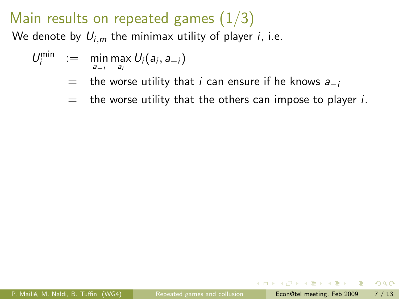# Main results on repeated games  $(1/3)$

We denote by  $U_{i,m}$  the minimax utility of player *i*, i.e.

$$
U_i^{\min} := \min_{a_{-i}} \max_{a_i} U_i(a_i, a_{-i})
$$

- $=$  the worse utility that *i* can ensure if he knows  $a_{-i}$
- $=$  the worse utility that the others can impose to player *i*.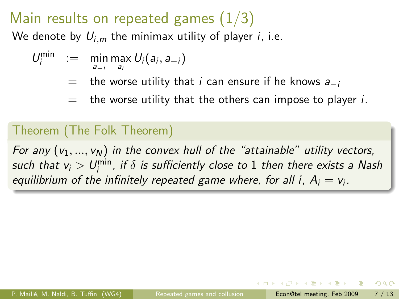# Main results on repeated games  $(1/3)$

We denote by  $U_{i,m}$  the minimax utility of player *i*, i.e.

$$
U_i^{\min} := \min_{a_{-i}} \max_{a_i} U_i(a_i, a_{-i})
$$

- $=$  the worse utility that *i* can ensure if he knows  $a_{-i}$
- $=$  the worse utility that the others can impose to player *i*.

#### Theorem (The Folk Theorem)

For any  $(v_1, ..., v_N)$  in the convex hull of the "attainable" utility vectors, such that  $v_i>U^{\min}_i$  , if  $\delta$  is sufficiently close to  $1$  then there exists a Nash equilibrium of the infinitely repeated game where, for all i,  $A_i = v_i$ .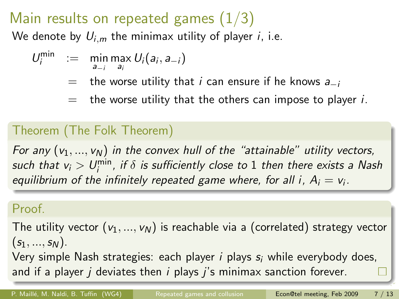# Main results on repeated games  $(1/3)$

We denote by  $U_{i,m}$  the minimax utility of player *i*, i.e.

$$
U_i^{\min} := \min_{a_{-i}} \max_{a_i} U_i(a_i, a_{-i})
$$

- $=$  the worse utility that *i* can ensure if he knows  $a_{-i}$
- $=$  the worse utility that the others can impose to player *i*.

#### Theorem (The Folk Theorem)

For any  $(v_1, ..., v_N)$  in the convex hull of the "attainable" utility vectors, such that  $v_i>U^{\min}_i$  , if  $\delta$  is sufficiently close to  $1$  then there exists a Nash equilibrium of the infinitely repeated game where, for all i,  $A_i = v_i$ .

#### Proof.

The utility vector  $(v_1, ..., v_N)$  is reachable via a (correlated) strategy vector  $(s_1, ..., s_N)$ .

Very simple Nash strategies: each player  $i$  plays  $s_i$  while everybody does, and if a player  $j$  deviates then  $i$  plays  $j$ 's minimax sanction forever.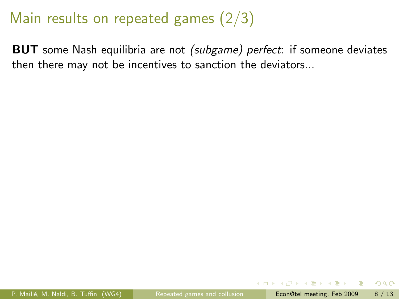# Main results on repeated games (2/3)

BUT some Nash equilibria are not (subgame) perfect: if someone deviates then there may not be incentives to sanction the deviators...

 $QQ$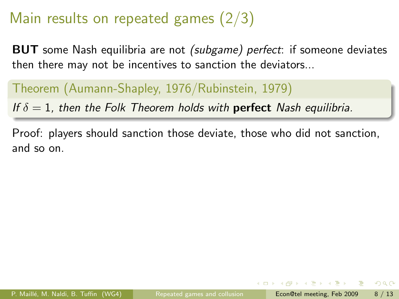# Main results on repeated games (2/3)

**BUT** some Nash equilibria are not *(subgame) perfect*: if someone deviates then there may not be incentives to sanction the deviators...

#### Theorem (Aumann-Shapley, 1976/Rubinstein, 1979)

If  $\delta = 1$ , then the Folk Theorem holds with **perfect** Nash equilibria.

Proof: players should sanction those deviate, those who did not sanction, and so on.

 $QQ$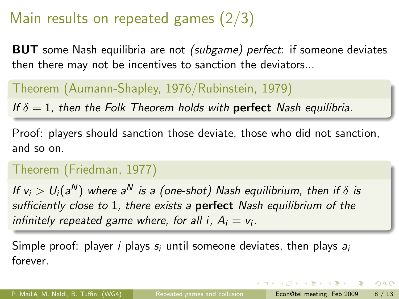# Main results on repeated games (2/3)

**BUT** some Nash equilibria are not *(subgame) perfect*: if someone deviates then there may not be incentives to sanction the deviators...

#### Theorem (Aumann-Shapley, 1976/Rubinstein, 1979)

If  $\delta = 1$ , then the Folk Theorem holds with **perfect** Nash equilibria.

Proof: players should sanction those deviate, those who did not sanction, and so on.

#### Theorem (Friedman, 1977)

If  $v_i > U_i(a^N)$  where a $^N$  is a (one-shot) Nash equilibrium, then if  $\delta$  is sufficiently close to 1, there exists a **perfect** Nash equilibrium of the infinitely repeated game where, for all i,  $A_i = v_i$ .

Simple proof: player *i* plays  $s_i$  until someone deviates, then plays  $a_i$ forever.

 $A \cup B \rightarrow A \oplus B \rightarrow A \oplus B \rightarrow A \oplus B \rightarrow A \oplus B$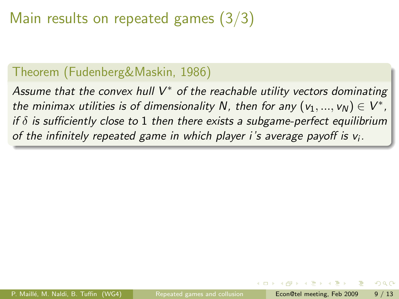# Main results on repeated games (3/3)

#### Theorem (Fudenberg&Maskin, 1986)

Assume that the convex hull  $V^*$  of the reachable utility vectors dominating the minimax utilities is of dimensionality N, then for any  $(v_1, ..., v_N) \in V^*$ , if  $\delta$  is sufficiently close to 1 then there exists a subgame-perfect equilibrium of the infinitely repeated game in which player i's average payoff is  $v_i$ .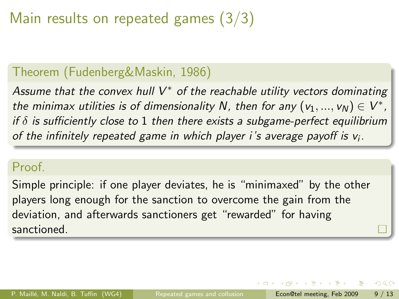# Main results on repeated games (3/3)

#### Theorem (Fudenberg&Maskin, 1986)

Assume that the convex hull  $V^*$  of the reachable utility vectors dominating the minimax utilities is of dimensionality N, then for any  $(v_1, ..., v_N) \in V^*$ , if  $\delta$  is sufficiently close to 1 then there exists a subgame-perfect equilibrium of the infinitely repeated game in which player i's average payoff is  $v_i$ .

#### Proof.

Simple principle: if one player deviates, he is "minimaxed" by the other players long enough for the sanction to overcome the gain from the deviation, and afterwards sanctioners get "rewarded" for having sanctioned.

 $\left\{ \begin{array}{ccc} 1 & 0 & 0 \\ 0 & 1 & 0 \end{array} \right.$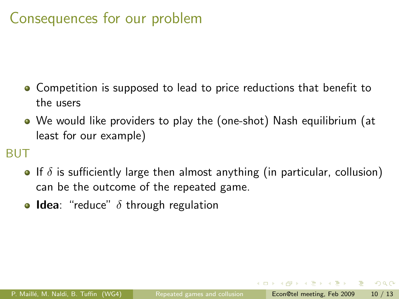# Consequences for our problem

- Competition is supposed to lead to price reductions that benefit to the users
- We would like providers to play the (one-shot) Nash equilibrium (at least for our example)

#### BUT

- If  $\delta$  is sufficiently large then almost anything (in particular, collusion) can be the outcome of the repeated game.
- **Idea**: "reduce"  $\delta$  through regulation

ラメ メラメ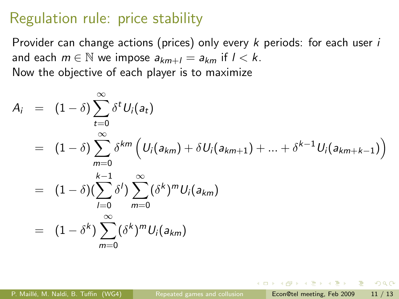## Regulation rule: price stability

Provider can change actions (prices) only every  $k$  periods: for each user  $i$ and each  $m \in \mathbb{N}$  we impose  $a_{km+1} = a_{km}$  if  $1 < k$ . Now the objective of each player is to maximize

$$
A_i = (1 - \delta) \sum_{t=0}^{\infty} \delta^t U_i(a_t)
$$
  
=  $(1 - \delta) \sum_{m=0}^{\infty} \delta^{km} (U_i(a_{km}) + \delta U_i(a_{km+1}) + ... + \delta^{k-1} U_i(a_{km+k-1}))$   
=  $(1 - \delta) (\sum_{l=0}^{k-1} \delta^l) \sum_{m=0}^{\infty} (\delta^k)^m U_i(a_{km})$   
=  $(1 - \delta^k) \sum_{m=0}^{\infty} (\delta^k)^m U_i(a_{km})$ 

P. Maillé, M. Naldi, B. Tuffin (WG4) [Repeated games and collusion](#page-0-0) Econ@tel meeting, Feb 2009 11 / 13

医单位 医单位

 $QQ$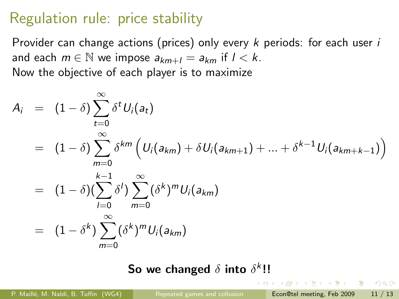# Regulation rule: price stability

Provider can change actions (prices) only every  $k$  periods: for each user  $i$ and each  $m \in \mathbb{N}$  we impose  $a_{km+1} = a_{km}$  if  $1 < k$ . Now the objective of each player is to maximize

$$
A_i = (1 - \delta) \sum_{t=0}^{\infty} \delta^t U_i(a_t)
$$
  
=  $(1 - \delta) \sum_{m=0}^{\infty} \delta^{km} (U_i(a_{km}) + \delta U_i(a_{km+1}) + ... + \delta^{k-1} U_i(a_{km+k-1}))$   
=  $(1 - \delta)(\sum_{l=0}^{k-1} \delta^l) \sum_{m=0}^{\infty} (\delta^k)^m U_i(a_{km})$   
=  $(1 - \delta^k) \sum_{m=0}^{\infty} (\delta^k)^m U_i(a_{km})$ 

So we changed  $\delta$  into  $\delta^k$ !!

4 D F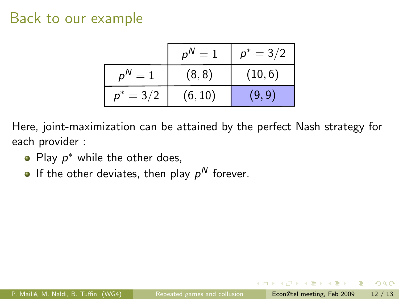### Back to our example

|                  | $D^{\prime V}$<br>$=1$ | $p^* = 3/2$ |
|------------------|------------------------|-------------|
| $D^N$<br>$=$ :   | (8, 8)                 | (10, 6)     |
| $= 3/2$<br>$n^*$ | (6, 10)                | (9,9)       |

Here, joint-maximization can be attained by the perfect Nash strategy for each provider :

- Play  $p^*$  while the other does,
- If the other deviates, then play  $p^N$  forever.

ヨメ イヨメ

÷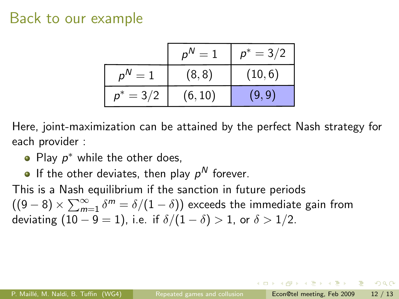### Back to our example

|                  | $D^{\prime V}$<br>$=1$ | $p^* = 3/2$ |
|------------------|------------------------|-------------|
| $D^N$<br>$=$ :   | (8, 8)                 | (10, 6)     |
| $= 3/2$<br>$n^*$ | (6, 10)                | (9,9)       |

Here, joint-maximization can be attained by the perfect Nash strategy for each provider :

- Play  $p^*$  while the other does,
- If the other deviates, then play  $p^N$  forever.

This is a Nash equilibrium if the sanction in future periods  $((9-8)\times\sum_{m=1}^{\infty}\delta^m=\delta/(1-\delta))$  exceeds the immediate gain from deviating  $(10 - 9 = 1)$ , i.e. if  $\delta/(1 - \delta) > 1$ , or  $\delta > 1/2$ .

**KABKABKA B**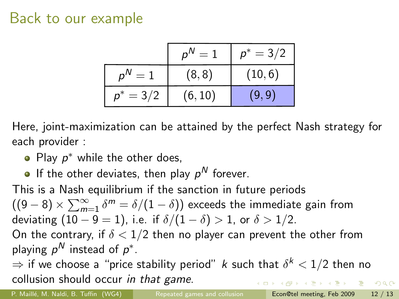## Back to our example

|                             | p <sup>N</sup><br>$=1$ | $p^* = 3/2$ |
|-----------------------------|------------------------|-------------|
| $\rho^{\mathsf{N}}$<br>$=1$ | (8, 8)                 | (10, 6)     |
| $= 3/2$<br>$n^*$            | (6, 10)                | (9,9)       |

Here, joint-maximization can be attained by the perfect Nash strategy for each provider :

- Play  $p^*$  while the other does,
- If the other deviates, then play  $p^N$  forever.

This is a Nash equilibrium if the sanction in future periods  $((9-8)\times\sum_{m=1}^{\infty}\delta^m=\delta/(1-\delta))$  exceeds the immediate gain from deviating  $(10 - 9 = 1)$ , i.e. if  $\delta/(1 - \delta) > 1$ , or  $\delta > 1/2$ . On the contrary, if  $\delta < 1/2$  then no player can prevent the other from playing  $\rho^N$  instead of  $\rho^*$ .

 $\Rightarrow$  if we choose a "price stability period"  $k$  such that  $\delta^k < 1/2$  then no collusion should occur in that game. **KERKER E KAQO** 

P. Maillé, M. Naldi, B. Tuffin (WG4) [Repeated games and collusion](#page-0-0) Econ@tel meeting, Feb 2009 12 / 13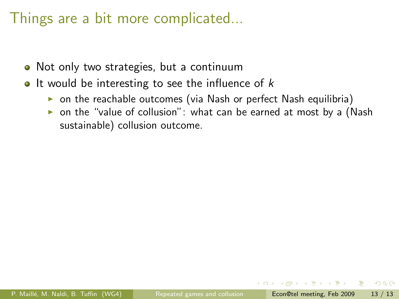# Things are a bit more complicated...

- Not only two strategies, but a continuum
- It would be interesting to see the influence of  $k$ 
	- $\triangleright$  on the reachable outcomes (via Nash or perfect Nash equilibria)
	- $\triangleright$  on the "value of collusion": what can be earned at most by a (Nash sustainable) collusion outcome.

ヨメ イヨメ